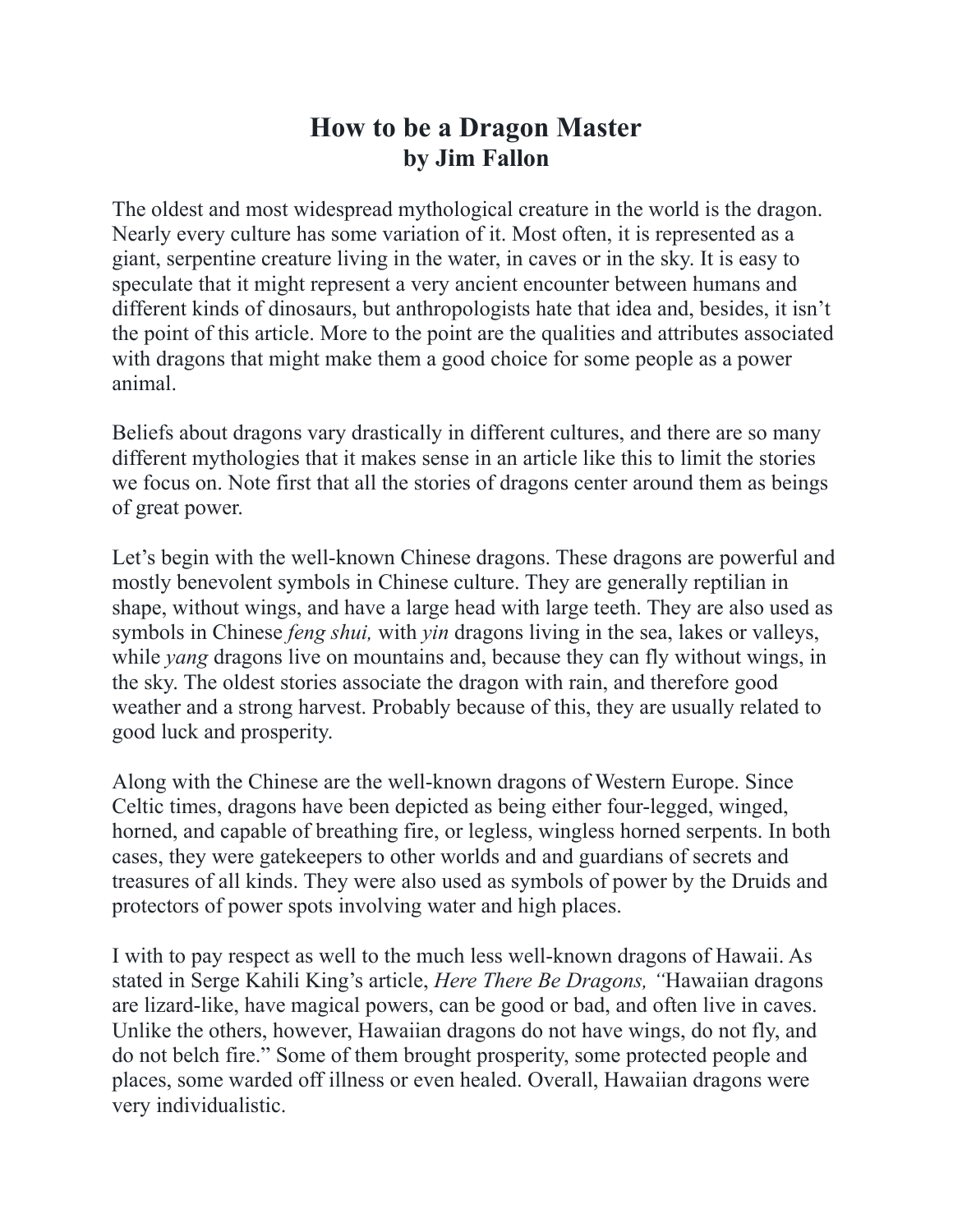## **How to be a Dragon Master by Jim Fallon**

The oldest and most widespread mythological creature in the world is the dragon. Nearly every culture has some variation of it. Most often, it is represented as a giant, serpentine creature living in the water, in caves or in the sky. It is easy to speculate that it might represent a very ancient encounter between humans and different kinds of dinosaurs, but anthropologists hate that idea and, besides, it isn't the point of this article. More to the point are the qualities and attributes associated with dragons that might make them a good choice for some people as a power animal.

Beliefs about dragons vary drastically in different cultures, and there are so many different mythologies that it makes sense in an article like this to limit the stories we focus on. Note first that all the stories of dragons center around them as beings of great power.

Let's begin with the well-known Chinese dragons. These dragons are powerful and mostly benevolent symbols in Chinese culture. They are generally reptilian in shape, without wings, and have a large head with large teeth. They are also used as symbols in Chinese *feng shui,* with *yin* dragons living in the sea, lakes or valleys, while *yang* dragons live on mountains and, because they can fly without wings, in the sky. The oldest stories associate the dragon with rain, and therefore good weather and a strong harvest. Probably because of this, they are usually related to good luck and prosperity.

Along with the Chinese are the well-known dragons of Western Europe. Since Celtic times, dragons have been depicted as being either four-legged, winged, horned, and capable of breathing fire, or legless, wingless horned serpents. In both cases, they were gatekeepers to other worlds and and guardians of secrets and treasures of all kinds. They were also used as symbols of power by the Druids and protectors of power spots involving water and high places.

I with to pay respect as well to the much less well-known dragons of Hawaii. As stated in Serge Kahili King's article, *Here There Be Dragons, "*Hawaiian dragons are lizard-like, have magical powers, can be good or bad, and often live in caves. Unlike the others, however, Hawaiian dragons do not have wings, do not fly, and do not belch fire." Some of them brought prosperity, some protected people and places, some warded off illness or even healed. Overall, Hawaiian dragons were very individualistic.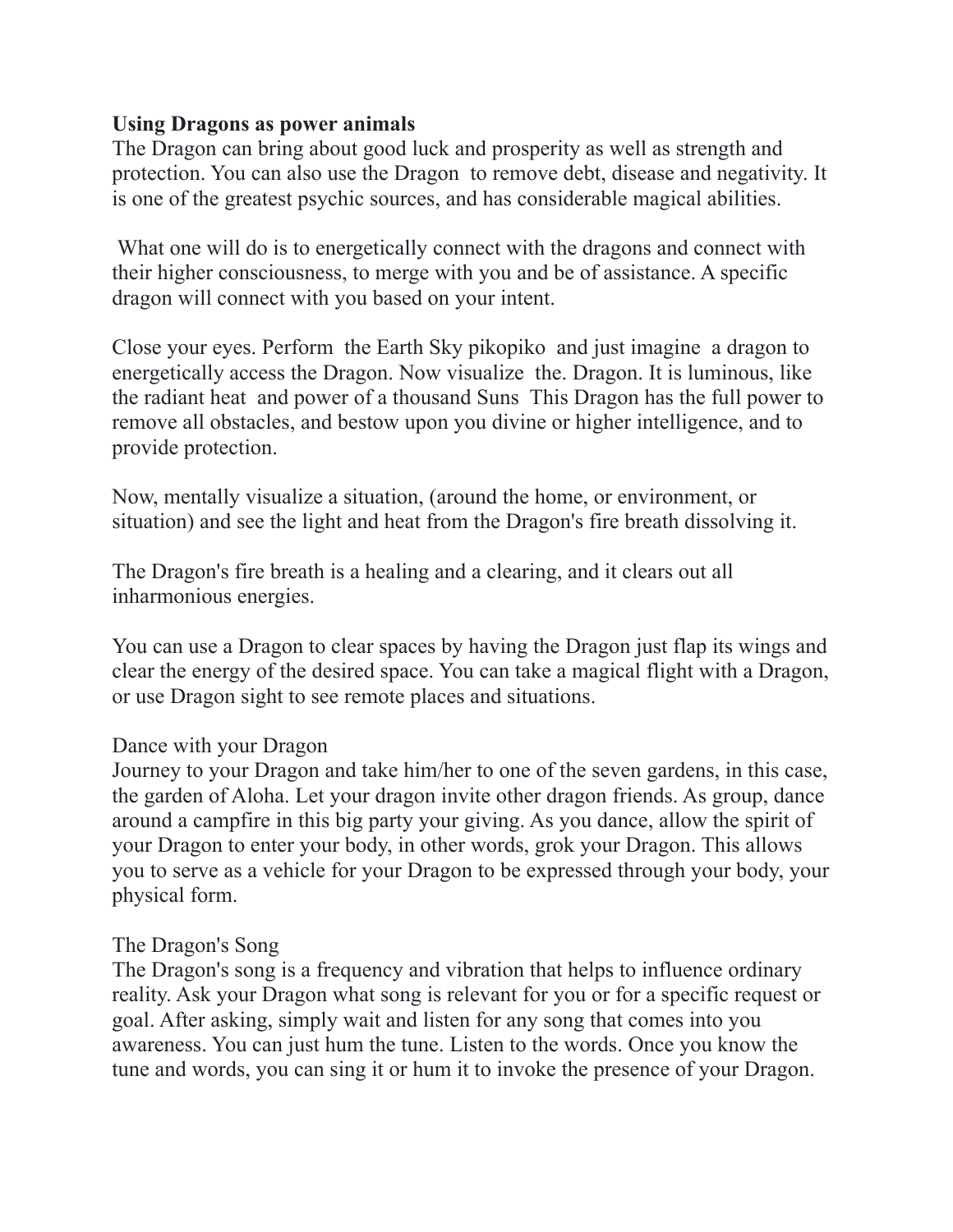## **Using Dragons as power animals**

The Dragon can bring about good luck and prosperity as well as strength and protection. You can also use the Dragon to remove debt, disease and negativity. It is one of the greatest psychic sources, and has considerable magical abilities.

 What one will do is to energetically connect with the dragons and connect with their higher consciousness, to merge with you and be of assistance. A specific dragon will connect with you based on your intent.

Close your eyes. Perform the Earth Sky pikopiko and just imagine a dragon to energetically access the Dragon. Now visualize the. Dragon. It is luminous, like the radiant heat and power of a thousand Suns This Dragon has the full power to remove all obstacles, and bestow upon you divine or higher intelligence, and to provide protection.

Now, mentally visualize a situation, (around the home, or environment, or situation) and see the light and heat from the Dragon's fire breath dissolving it.

The Dragon's fire breath is a healing and a clearing, and it clears out all inharmonious energies.

You can use a Dragon to clear spaces by having the Dragon just flap its wings and clear the energy of the desired space. You can take a magical flight with a Dragon, or use Dragon sight to see remote places and situations.

## Dance with your Dragon

Journey to your Dragon and take him/her to one of the seven gardens, in this case, the garden of Aloha. Let your dragon invite other dragon friends. As group, dance around a campfire in this big party your giving. As you dance, allow the spirit of your Dragon to enter your body, in other words, grok your Dragon. This allows you to serve as a vehicle for your Dragon to be expressed through your body, your physical form.

## The Dragon's Song

The Dragon's song is a frequency and vibration that helps to influence ordinary reality. Ask your Dragon what song is relevant for you or for a specific request or goal. After asking, simply wait and listen for any song that comes into you awareness. You can just hum the tune. Listen to the words. Once you know the tune and words, you can sing it or hum it to invoke the presence of your Dragon.